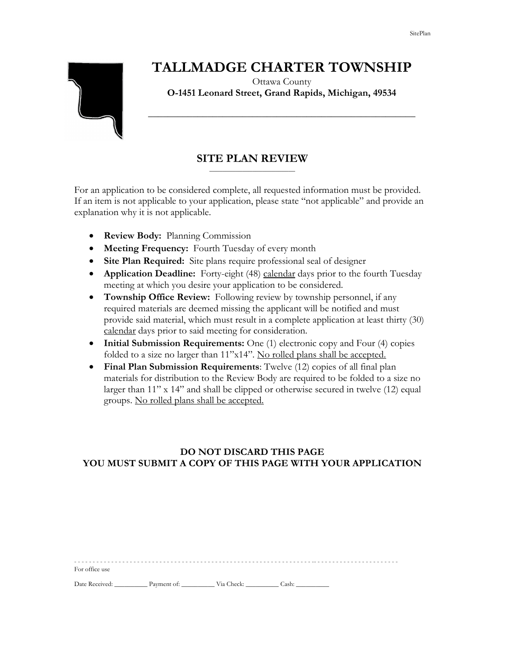# **TALLMADGE CHARTER TOWNSHIP**

Ottawa County **O-1451 Leonard Street, Grand Rapids, Michigan, 49534**

**\_\_\_\_\_\_\_\_\_\_\_\_\_\_\_\_\_\_\_\_\_\_\_\_\_\_\_\_\_\_\_\_\_\_\_\_\_\_\_\_\_\_\_\_\_\_\_\_\_\_\_\_\_\_**

### **SITE PLAN REVIEW** \_\_\_\_\_\_\_\_\_\_\_\_\_\_\_\_\_\_\_\_\_\_\_\_\_\_

For an application to be considered complete, all requested information must be provided. If an item is not applicable to your application, please state "not applicable" and provide an explanation why it is not applicable.

- **Review Body:** Planning Commission
- **Meeting Frequency:** Fourth Tuesday of every month
- **Site Plan Required:** Site plans require professional seal of designer
- **Application Deadline:** Forty-eight (48) calendar days prior to the fourth Tuesday meeting at which you desire your application to be considered.
- **Township Office Review:** Following review by township personnel, if any required materials are deemed missing the applicant will be notified and must provide said material, which must result in a complete application at least thirty (30) calendar days prior to said meeting for consideration.
- **Initial Submission Requirements:** One (1) electronic copy and Four (4) copies folded to a size no larger than 11"x14". No rolled plans shall be accepted.
- **Final Plan Submission Requirements**: Twelve (12) copies of all final plan materials for distribution to the Review Body are required to be folded to a size no larger than 11" x 14" and shall be clipped or otherwise secured in twelve (12) equal groups. No rolled plans shall be accepted.

### **DO NOT DISCARD THIS PAGE YOU MUST SUBMIT A COPY OF THIS PAGE WITH YOUR APPLICATION**

| For office use |             |            |       |  |
|----------------|-------------|------------|-------|--|
| Date Received: | Payment of: | Via Check: | Cash: |  |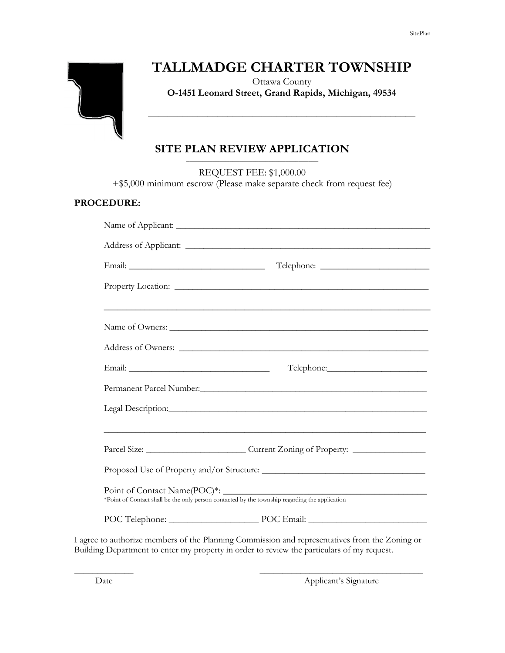

## **TALLMADGE CHARTER TOWNSHIP**

Ottawa County **O-1451 Leonard Street, Grand Rapids, Michigan, 49534**

**\_\_\_\_\_\_\_\_\_\_\_\_\_\_\_\_\_\_\_\_\_\_\_\_\_\_\_\_\_\_\_\_\_\_\_\_\_\_\_\_\_\_\_\_\_\_\_\_\_\_\_\_\_\_**

### **SITE PLAN REVIEW APPLICATION** \_\_\_\_\_\_\_\_\_\_\_\_\_\_\_\_\_\_\_\_\_\_\_\_\_\_\_\_\_\_\_\_\_\_\_\_\_\_\_\_

REQUEST FEE: \$1,000.00

+\$5,000 minimum escrow (Please make separate check from request fee)

### **PROCEDURE:**

| Name of Owners:                                                                                                                                                                        |  |  |  |  |  |
|----------------------------------------------------------------------------------------------------------------------------------------------------------------------------------------|--|--|--|--|--|
|                                                                                                                                                                                        |  |  |  |  |  |
|                                                                                                                                                                                        |  |  |  |  |  |
|                                                                                                                                                                                        |  |  |  |  |  |
| Legal Description: Legal Description:                                                                                                                                                  |  |  |  |  |  |
| ,我们也不能在这里的时候,我们也不能在这里的时候,我们也不能在这里的时候,我们也不能会不能会不能会不能会不能会不能会不能会不能会。<br>第2012章 我们的时候,我们的时候,我们的时候,我们的时候,我们的时候,我们的时候,我们的时候,我们的时候,我们的时候,我们的时候,我们的时候,我们的时候,我                                  |  |  |  |  |  |
| Parcel Size: ______________________________Current Zoning of Property: _____________________________                                                                                   |  |  |  |  |  |
|                                                                                                                                                                                        |  |  |  |  |  |
| Point of Contact Name(POC)*: _ metaphoretical by the township regarding the application *Point of Contact shall be the only person contacted by the township regarding the application |  |  |  |  |  |
| POC Telephone: POC Email: POC Email:                                                                                                                                                   |  |  |  |  |  |

I agree to authorize members of the Planning Commission and representatives from the Zoning or Building Department to enter my property in order to review the particulars of my request.

\_\_\_\_\_\_\_\_\_\_\_\_\_ \_\_\_\_\_\_\_\_\_\_\_\_\_\_\_\_\_\_\_\_\_\_\_\_\_\_\_\_\_\_\_\_\_\_\_\_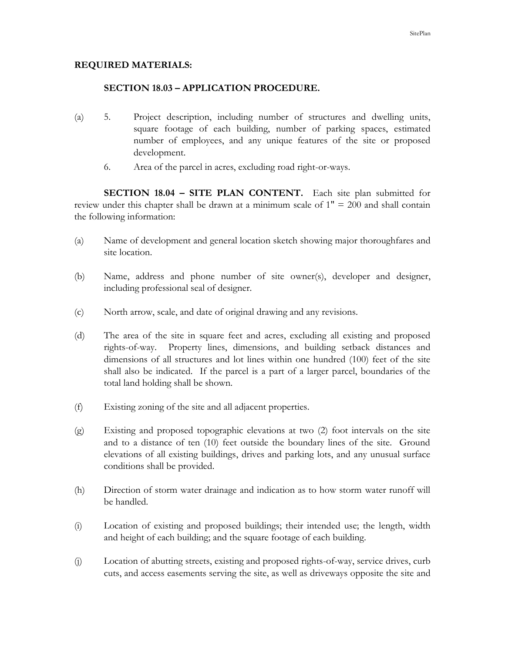### **REQUIRED MATERIALS:**

### **SECTION 18.03 – APPLICATION PROCEDURE.**

- (a) 5. Project description, including number of structures and dwelling units, square footage of each building, number of parking spaces, estimated number of employees, and any unique features of the site or proposed development.
	- 6. Area of the parcel in acres, excluding road right-or-ways.

**SECTION 18.04 – SITE PLAN CONTENT.** Each site plan submitted for review under this chapter shall be drawn at a minimum scale of 1" = 200 and shall contain the following information:

- (a) Name of development and general location sketch showing major thoroughfares and site location.
- (b) Name, address and phone number of site owner(s), developer and designer, including professional seal of designer.
- (c) North arrow, scale, and date of original drawing and any revisions.
- (d) The area of the site in square feet and acres, excluding all existing and proposed rights-of-way. Property lines, dimensions, and building setback distances and dimensions of all structures and lot lines within one hundred (100) feet of the site shall also be indicated. If the parcel is a part of a larger parcel, boundaries of the total land holding shall be shown.
- (f) Existing zoning of the site and all adjacent properties.
- (g) Existing and proposed topographic elevations at two (2) foot intervals on the site and to a distance of ten (10) feet outside the boundary lines of the site. Ground elevations of all existing buildings, drives and parking lots, and any unusual surface conditions shall be provided.
- (h) Direction of storm water drainage and indication as to how storm water runoff will be handled.
- (i) Location of existing and proposed buildings; their intended use; the length, width and height of each building; and the square footage of each building.
- (j) Location of abutting streets, existing and proposed rights-of-way, service drives, curb cuts, and access easements serving the site, as well as driveways opposite the site and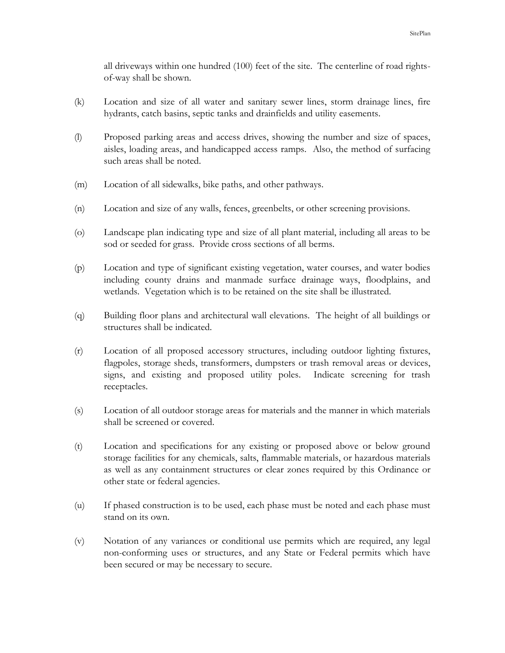all driveways within one hundred (100) feet of the site. The centerline of road rightsof-way shall be shown.

- (k) Location and size of all water and sanitary sewer lines, storm drainage lines, fire hydrants, catch basins, septic tanks and drainfields and utility easements.
- (l) Proposed parking areas and access drives, showing the number and size of spaces, aisles, loading areas, and handicapped access ramps. Also, the method of surfacing such areas shall be noted.
- (m) Location of all sidewalks, bike paths, and other pathways.
- (n) Location and size of any walls, fences, greenbelts, or other screening provisions.
- (o) Landscape plan indicating type and size of all plant material, including all areas to be sod or seeded for grass. Provide cross sections of all berms.
- (p) Location and type of significant existing vegetation, water courses, and water bodies including county drains and manmade surface drainage ways, floodplains, and wetlands. Vegetation which is to be retained on the site shall be illustrated.
- (q) Building floor plans and architectural wall elevations. The height of all buildings or structures shall be indicated.
- (r) Location of all proposed accessory structures, including outdoor lighting fixtures, flagpoles, storage sheds, transformers, dumpsters or trash removal areas or devices, signs, and existing and proposed utility poles. Indicate screening for trash receptacles.
- (s) Location of all outdoor storage areas for materials and the manner in which materials shall be screened or covered.
- (t) Location and specifications for any existing or proposed above or below ground storage facilities for any chemicals, salts, flammable materials, or hazardous materials as well as any containment structures or clear zones required by this Ordinance or other state or federal agencies.
- (u) If phased construction is to be used, each phase must be noted and each phase must stand on its own.
- (v) Notation of any variances or conditional use permits which are required, any legal non-conforming uses or structures, and any State or Federal permits which have been secured or may be necessary to secure.